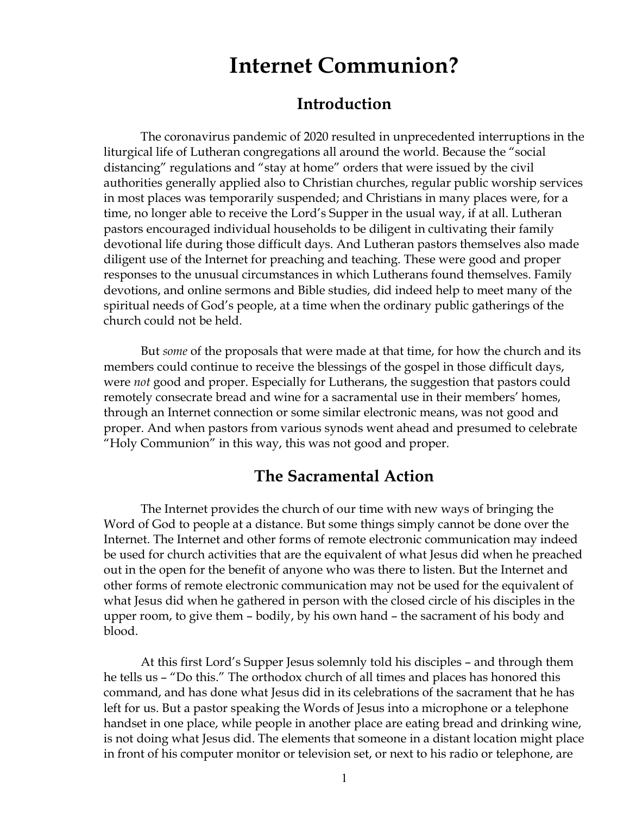# Internet Communion?

#### Introduction

 The coronavirus pandemic of 2020 resulted in unprecedented interruptions in the liturgical life of Lutheran congregations all around the world. Because the "social distancing" regulations and "stay at home" orders that were issued by the civil authorities generally applied also to Christian churches, regular public worship services in most places was temporarily suspended; and Christians in many places were, for a time, no longer able to receive the Lord's Supper in the usual way, if at all. Lutheran pastors encouraged individual households to be diligent in cultivating their family devotional life during those difficult days. And Lutheran pastors themselves also made diligent use of the Internet for preaching and teaching. These were good and proper responses to the unusual circumstances in which Lutherans found themselves. Family devotions, and online sermons and Bible studies, did indeed help to meet many of the spiritual needs of God's people, at a time when the ordinary public gatherings of the church could not be held.

But some of the proposals that were made at that time, for how the church and its members could continue to receive the blessings of the gospel in those difficult days, were *not* good and proper. Especially for Lutherans, the suggestion that pastors could remotely consecrate bread and wine for a sacramental use in their members' homes, through an Internet connection or some similar electronic means, was not good and proper. And when pastors from various synods went ahead and presumed to celebrate "Holy Communion" in this way, this was not good and proper.

#### The Sacramental Action

The Internet provides the church of our time with new ways of bringing the Word of God to people at a distance. But some things simply cannot be done over the Internet. The Internet and other forms of remote electronic communication may indeed be used for church activities that are the equivalent of what Jesus did when he preached out in the open for the benefit of anyone who was there to listen. But the Internet and other forms of remote electronic communication may not be used for the equivalent of what Jesus did when he gathered in person with the closed circle of his disciples in the upper room, to give them – bodily, by his own hand – the sacrament of his body and blood.

At this first Lord's Supper Jesus solemnly told his disciples – and through them he tells us – "Do this." The orthodox church of all times and places has honored this command, and has done what Jesus did in its celebrations of the sacrament that he has left for us. But a pastor speaking the Words of Jesus into a microphone or a telephone handset in one place, while people in another place are eating bread and drinking wine, is not doing what Jesus did. The elements that someone in a distant location might place in front of his computer monitor or television set, or next to his radio or telephone, are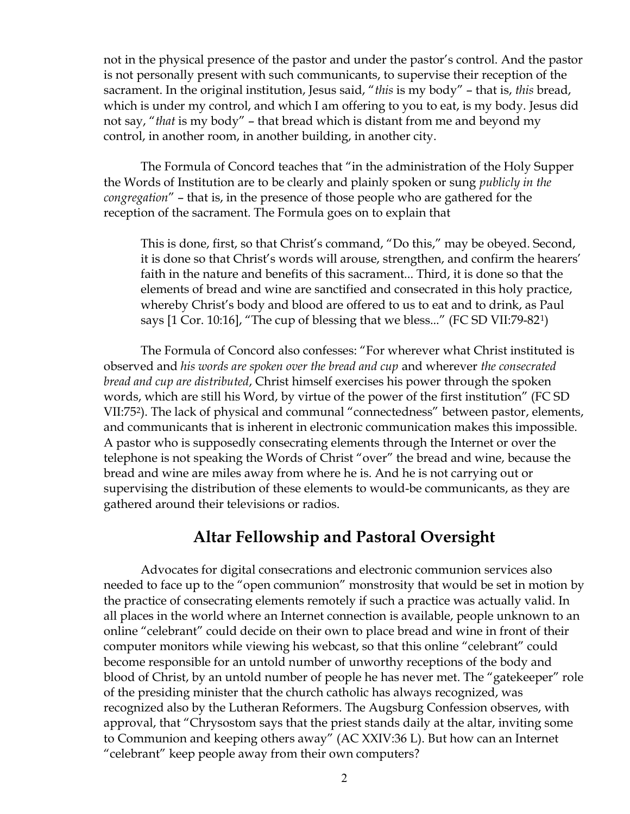not in the physical presence of the pastor and under the pastor's control. And the pastor is not personally present with such communicants, to supervise their reception of the sacrament. In the original institution, Jesus said, "this is my body" – that is, this bread, which is under my control, and which I am offering to you to eat, is my body. Jesus did not say, "that is my body" – that bread which is distant from me and beyond my control, in another room, in another building, in another city.

The Formula of Concord teaches that "in the administration of the Holy Supper the Words of Institution are to be clearly and plainly spoken or sung publicly in the congregation" – that is, in the presence of those people who are gathered for the reception of the sacrament. The Formula goes on to explain that

This is done, first, so that Christ's command, "Do this," may be obeyed. Second, it is done so that Christ's words will arouse, strengthen, and confirm the hearers' faith in the nature and benefits of this sacrament... Third, it is done so that the elements of bread and wine are sanctified and consecrated in this holy practice, whereby Christ's body and blood are offered to us to eat and to drink, as Paul says [1 Cor. 10:16], "The cup of blessing that we bless..." (FC SD VII:79-821)

The Formula of Concord also confesses: "For wherever what Christ instituted is observed and his words are spoken over the bread and cup and wherever the consecrated bread and cup are distributed, Christ himself exercises his power through the spoken words, which are still his Word, by virtue of the power of the first institution" (FC SD VII:752). The lack of physical and communal "connectedness" between pastor, elements, and communicants that is inherent in electronic communication makes this impossible. A pastor who is supposedly consecrating elements through the Internet or over the telephone is not speaking the Words of Christ "over" the bread and wine, because the bread and wine are miles away from where he is. And he is not carrying out or supervising the distribution of these elements to would-be communicants, as they are gathered around their televisions or radios.

### Altar Fellowship and Pastoral Oversight

Advocates for digital consecrations and electronic communion services also needed to face up to the "open communion" monstrosity that would be set in motion by the practice of consecrating elements remotely if such a practice was actually valid. In all places in the world where an Internet connection is available, people unknown to an online "celebrant" could decide on their own to place bread and wine in front of their computer monitors while viewing his webcast, so that this online "celebrant" could become responsible for an untold number of unworthy receptions of the body and blood of Christ, by an untold number of people he has never met. The "gatekeeper" role of the presiding minister that the church catholic has always recognized, was recognized also by the Lutheran Reformers. The Augsburg Confession observes, with approval, that "Chrysostom says that the priest stands daily at the altar, inviting some to Communion and keeping others away" (AC XXIV:36 L). But how can an Internet "celebrant" keep people away from their own computers?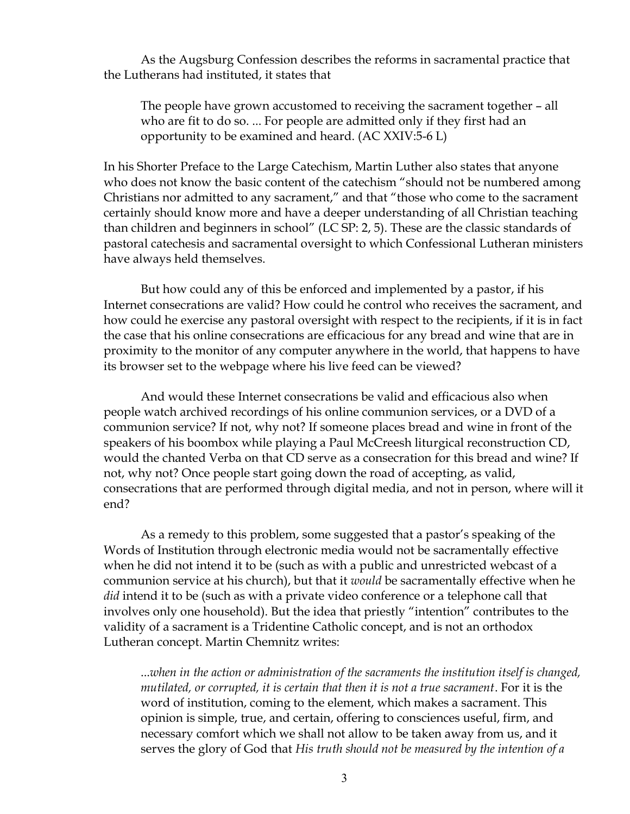As the Augsburg Confession describes the reforms in sacramental practice that the Lutherans had instituted, it states that

The people have grown accustomed to receiving the sacrament together – all who are fit to do so. ... For people are admitted only if they first had an opportunity to be examined and heard. (AC XXIV:5-6 L)

In his Shorter Preface to the Large Catechism, Martin Luther also states that anyone who does not know the basic content of the catechism "should not be numbered among Christians nor admitted to any sacrament," and that "those who come to the sacrament certainly should know more and have a deeper understanding of all Christian teaching than children and beginners in school" (LC SP: 2, 5). These are the classic standards of pastoral catechesis and sacramental oversight to which Confessional Lutheran ministers have always held themselves.

But how could any of this be enforced and implemented by a pastor, if his Internet consecrations are valid? How could he control who receives the sacrament, and how could he exercise any pastoral oversight with respect to the recipients, if it is in fact the case that his online consecrations are efficacious for any bread and wine that are in proximity to the monitor of any computer anywhere in the world, that happens to have its browser set to the webpage where his live feed can be viewed?

And would these Internet consecrations be valid and efficacious also when people watch archived recordings of his online communion services, or a DVD of a communion service? If not, why not? If someone places bread and wine in front of the speakers of his boombox while playing a Paul McCreesh liturgical reconstruction CD, would the chanted Verba on that CD serve as a consecration for this bread and wine? If not, why not? Once people start going down the road of accepting, as valid, consecrations that are performed through digital media, and not in person, where will it end?

As a remedy to this problem, some suggested that a pastor's speaking of the Words of Institution through electronic media would not be sacramentally effective when he did not intend it to be (such as with a public and unrestricted webcast of a communion service at his church), but that it would be sacramentally effective when he did intend it to be (such as with a private video conference or a telephone call that involves only one household). But the idea that priestly "intention" contributes to the validity of a sacrament is a Tridentine Catholic concept, and is not an orthodox Lutheran concept. Martin Chemnitz writes:

...when in the action or administration of the sacraments the institution itself is changed, mutilated, or corrupted, it is certain that then it is not a true sacrament. For it is the word of institution, coming to the element, which makes a sacrament. This opinion is simple, true, and certain, offering to consciences useful, firm, and necessary comfort which we shall not allow to be taken away from us, and it serves the glory of God that His truth should not be measured by the intention of a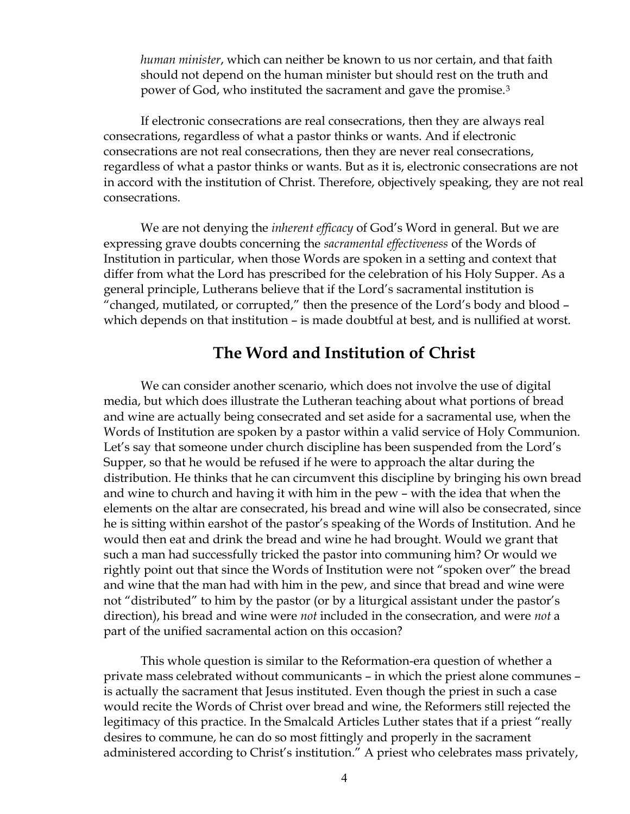human minister, which can neither be known to us nor certain, and that faith should not depend on the human minister but should rest on the truth and power of God, who instituted the sacrament and gave the promise.<sup>3</sup>

If electronic consecrations are real consecrations, then they are always real consecrations, regardless of what a pastor thinks or wants. And if electronic consecrations are not real consecrations, then they are never real consecrations, regardless of what a pastor thinks or wants. But as it is, electronic consecrations are not in accord with the institution of Christ. Therefore, objectively speaking, they are not real consecrations.

We are not denying the *inherent efficacy* of God's Word in general. But we are expressing grave doubts concerning the sacramental effectiveness of the Words of Institution in particular, when those Words are spoken in a setting and context that differ from what the Lord has prescribed for the celebration of his Holy Supper. As a general principle, Lutherans believe that if the Lord's sacramental institution is "changed, mutilated, or corrupted," then the presence of the Lord's body and blood – which depends on that institution – is made doubtful at best, and is nullified at worst.

### The Word and Institution of Christ

We can consider another scenario, which does not involve the use of digital media, but which does illustrate the Lutheran teaching about what portions of bread and wine are actually being consecrated and set aside for a sacramental use, when the Words of Institution are spoken by a pastor within a valid service of Holy Communion. Let's say that someone under church discipline has been suspended from the Lord's Supper, so that he would be refused if he were to approach the altar during the distribution. He thinks that he can circumvent this discipline by bringing his own bread and wine to church and having it with him in the pew – with the idea that when the elements on the altar are consecrated, his bread and wine will also be consecrated, since he is sitting within earshot of the pastor's speaking of the Words of Institution. And he would then eat and drink the bread and wine he had brought. Would we grant that such a man had successfully tricked the pastor into communing him? Or would we rightly point out that since the Words of Institution were not "spoken over" the bread and wine that the man had with him in the pew, and since that bread and wine were not "distributed" to him by the pastor (or by a liturgical assistant under the pastor's direction), his bread and wine were not included in the consecration, and were not a part of the unified sacramental action on this occasion?

This whole question is similar to the Reformation-era question of whether a private mass celebrated without communicants – in which the priest alone communes – is actually the sacrament that Jesus instituted. Even though the priest in such a case would recite the Words of Christ over bread and wine, the Reformers still rejected the legitimacy of this practice. In the Smalcald Articles Luther states that if a priest "really desires to commune, he can do so most fittingly and properly in the sacrament administered according to Christ's institution." A priest who celebrates mass privately,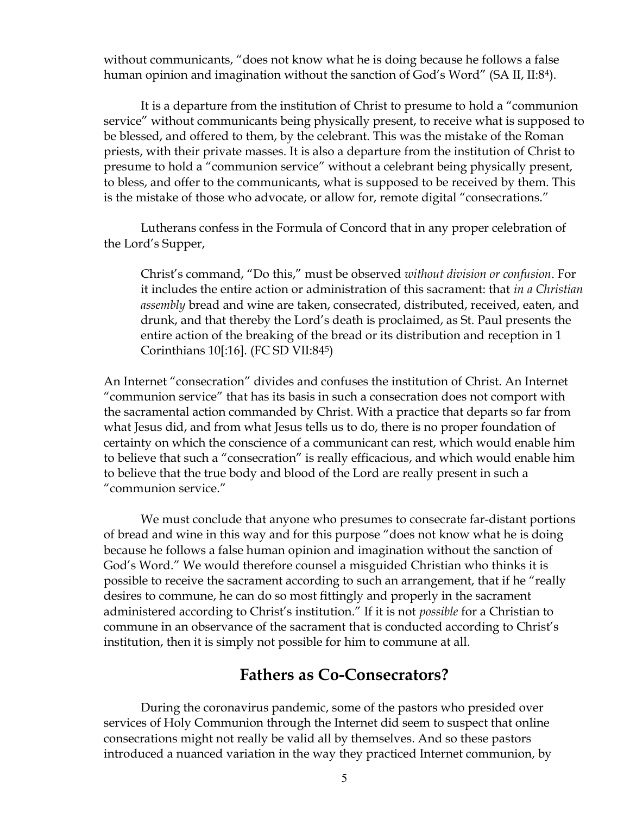without communicants, "does not know what he is doing because he follows a false human opinion and imagination without the sanction of God's Word" (SA II, II:84).

It is a departure from the institution of Christ to presume to hold a "communion service" without communicants being physically present, to receive what is supposed to be blessed, and offered to them, by the celebrant. This was the mistake of the Roman priests, with their private masses. It is also a departure from the institution of Christ to presume to hold a "communion service" without a celebrant being physically present, to bless, and offer to the communicants, what is supposed to be received by them. This is the mistake of those who advocate, or allow for, remote digital "consecrations."

Lutherans confess in the Formula of Concord that in any proper celebration of the Lord's Supper,

Christ's command, "Do this," must be observed without division or confusion. For it includes the entire action or administration of this sacrament: that *in a Christian* assembly bread and wine are taken, consecrated, distributed, received, eaten, and drunk, and that thereby the Lord's death is proclaimed, as St. Paul presents the entire action of the breaking of the bread or its distribution and reception in 1 Corinthians 10[:16]. (FC SD VII:845)

An Internet "consecration" divides and confuses the institution of Christ. An Internet "communion service" that has its basis in such a consecration does not comport with the sacramental action commanded by Christ. With a practice that departs so far from what Jesus did, and from what Jesus tells us to do, there is no proper foundation of certainty on which the conscience of a communicant can rest, which would enable him to believe that such a "consecration" is really efficacious, and which would enable him to believe that the true body and blood of the Lord are really present in such a "communion service."

We must conclude that anyone who presumes to consecrate far-distant portions of bread and wine in this way and for this purpose "does not know what he is doing because he follows a false human opinion and imagination without the sanction of God's Word." We would therefore counsel a misguided Christian who thinks it is possible to receive the sacrament according to such an arrangement, that if he "really desires to commune, he can do so most fittingly and properly in the sacrament administered according to Christ's institution." If it is not possible for a Christian to commune in an observance of the sacrament that is conducted according to Christ's institution, then it is simply not possible for him to commune at all.

## Fathers as Co-Consecrators?

During the coronavirus pandemic, some of the pastors who presided over services of Holy Communion through the Internet did seem to suspect that online consecrations might not really be valid all by themselves. And so these pastors introduced a nuanced variation in the way they practiced Internet communion, by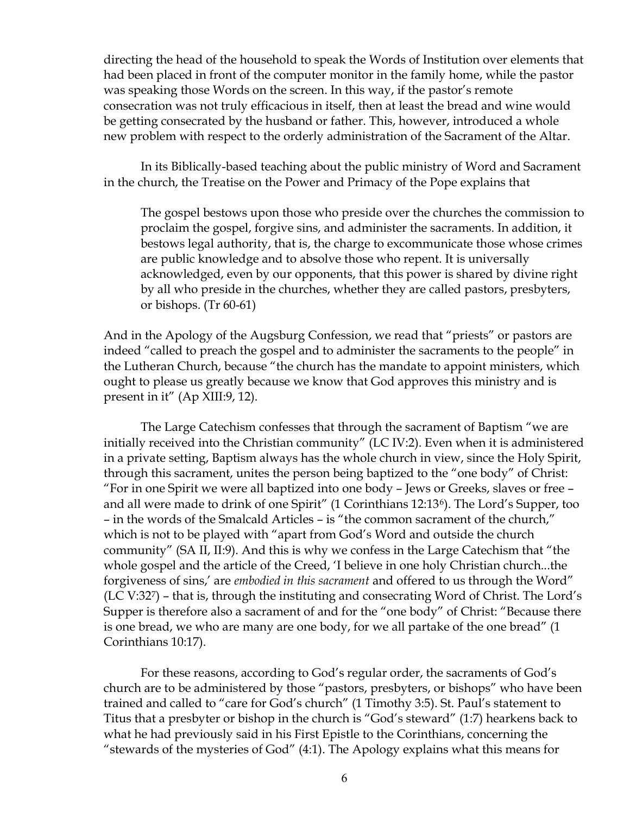directing the head of the household to speak the Words of Institution over elements that had been placed in front of the computer monitor in the family home, while the pastor was speaking those Words on the screen. In this way, if the pastor's remote consecration was not truly efficacious in itself, then at least the bread and wine would be getting consecrated by the husband or father. This, however, introduced a whole new problem with respect to the orderly administration of the Sacrament of the Altar.

In its Biblically-based teaching about the public ministry of Word and Sacrament in the church, the Treatise on the Power and Primacy of the Pope explains that

The gospel bestows upon those who preside over the churches the commission to proclaim the gospel, forgive sins, and administer the sacraments. In addition, it bestows legal authority, that is, the charge to excommunicate those whose crimes are public knowledge and to absolve those who repent. It is universally acknowledged, even by our opponents, that this power is shared by divine right by all who preside in the churches, whether they are called pastors, presbyters, or bishops. (Tr 60-61)

And in the Apology of the Augsburg Confession, we read that "priests" or pastors are indeed "called to preach the gospel and to administer the sacraments to the people" in the Lutheran Church, because "the church has the mandate to appoint ministers, which ought to please us greatly because we know that God approves this ministry and is present in it" (Ap XIII:9, 12).

The Large Catechism confesses that through the sacrament of Baptism "we are initially received into the Christian community" (LC IV:2). Even when it is administered in a private setting, Baptism always has the whole church in view, since the Holy Spirit, through this sacrament, unites the person being baptized to the "one body" of Christ: "For in one Spirit we were all baptized into one body – Jews or Greeks, slaves or free – and all were made to drink of one Spirit" (1 Corinthians 12:136). The Lord's Supper, too – in the words of the Smalcald Articles – is "the common sacrament of the church," which is not to be played with "apart from God's Word and outside the church community" (SA II, II:9). And this is why we confess in the Large Catechism that "the whole gospel and the article of the Creed, 'I believe in one holy Christian church...the forgiveness of sins,' are embodied in this sacrament and offered to us through the Word" (LC V:327) – that is, through the instituting and consecrating Word of Christ. The Lord's Supper is therefore also a sacrament of and for the "one body" of Christ: "Because there is one bread, we who are many are one body, for we all partake of the one bread" (1 Corinthians 10:17).

For these reasons, according to God's regular order, the sacraments of God's church are to be administered by those "pastors, presbyters, or bishops" who have been trained and called to "care for God's church" (1 Timothy 3:5). St. Paul's statement to Titus that a presbyter or bishop in the church is "God's steward" (1:7) hearkens back to what he had previously said in his First Epistle to the Corinthians, concerning the "stewards of the mysteries of God" (4:1). The Apology explains what this means for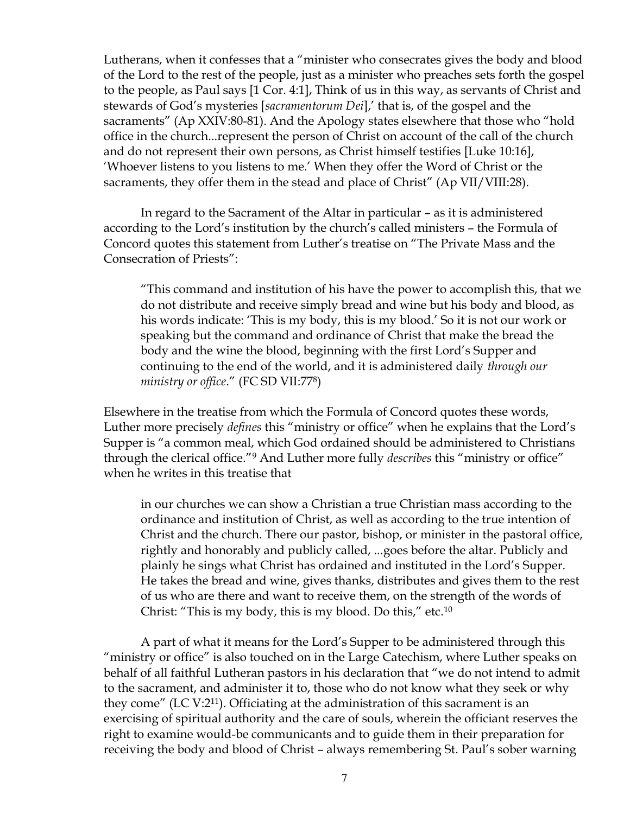Lutherans, when it confesses that a "minister who consecrates gives the body and blood of the Lord to the rest of the people, just as a minister who preaches sets forth the gospel to the people, as Paul says [1 Cor. 4:1], Think of us in this way, as servants of Christ and stewards of God's mysteries [sacramentorum Dei],' that is, of the gospel and the sacraments" (Ap XXIV:80-81). And the Apology states elsewhere that those who "hold office in the church...represent the person of Christ on account of the call of the church and do not represent their own persons, as Christ himself testifies [Luke 10:16], 'Whoever listens to you listens to me.' When they offer the Word of Christ or the sacraments, they offer them in the stead and place of Christ" (Ap VII/VIII:28).

 In regard to the Sacrament of the Altar in particular – as it is administered according to the Lord's institution by the church's called ministers – the Formula of Concord quotes this statement from Luther's treatise on "The Private Mass and the Consecration of Priests":

"This command and institution of his have the power to accomplish this, that we do not distribute and receive simply bread and wine but his body and blood, as his words indicate: 'This is my body, this is my blood.' So it is not our work or speaking but the command and ordinance of Christ that make the bread the body and the wine the blood, beginning with the first Lord's Supper and continuing to the end of the world, and it is administered daily through our ministry or office." (FC SD VII:778)

Elsewhere in the treatise from which the Formula of Concord quotes these words, Luther more precisely defines this "ministry or office" when he explains that the Lord's Supper is "a common meal, which God ordained should be administered to Christians through the clerical office."<sup>9</sup> And Luther more fully *describes* this "ministry or office" when he writes in this treatise that

in our churches we can show a Christian a true Christian mass according to the ordinance and institution of Christ, as well as according to the true intention of Christ and the church. There our pastor, bishop, or minister in the pastoral office, rightly and honorably and publicly called, ...goes before the altar. Publicly and plainly he sings what Christ has ordained and instituted in the Lord's Supper. He takes the bread and wine, gives thanks, distributes and gives them to the rest of us who are there and want to receive them, on the strength of the words of Christ: "This is my body, this is my blood. Do this," etc.<sup>10</sup>

A part of what it means for the Lord's Supper to be administered through this "ministry or office" is also touched on in the Large Catechism, where Luther speaks on behalf of all faithful Lutheran pastors in his declaration that "we do not intend to admit to the sacrament, and administer it to, those who do not know what they seek or why they come" (LC V:211). Officiating at the administration of this sacrament is an exercising of spiritual authority and the care of souls, wherein the officiant reserves the right to examine would-be communicants and to guide them in their preparation for receiving the body and blood of Christ – always remembering St. Paul's sober warning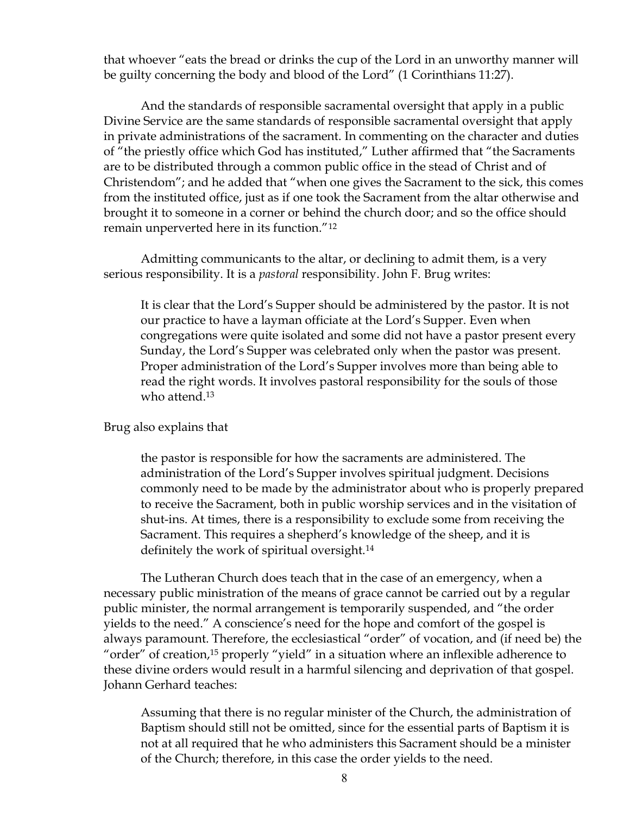that whoever "eats the bread or drinks the cup of the Lord in an unworthy manner will be guilty concerning the body and blood of the Lord" (1 Corinthians 11:27).

And the standards of responsible sacramental oversight that apply in a public Divine Service are the same standards of responsible sacramental oversight that apply in private administrations of the sacrament. In commenting on the character and duties of "the priestly office which God has instituted," Luther affirmed that "the Sacraments are to be distributed through a common public office in the stead of Christ and of Christendom"; and he added that "when one gives the Sacrament to the sick, this comes from the instituted office, just as if one took the Sacrament from the altar otherwise and brought it to someone in a corner or behind the church door; and so the office should remain unperverted here in its function."<sup>12</sup>

Admitting communicants to the altar, or declining to admit them, is a very serious responsibility. It is a pastoral responsibility. John F. Brug writes:

It is clear that the Lord's Supper should be administered by the pastor. It is not our practice to have a layman officiate at the Lord's Supper. Even when congregations were quite isolated and some did not have a pastor present every Sunday, the Lord's Supper was celebrated only when the pastor was present. Proper administration of the Lord's Supper involves more than being able to read the right words. It involves pastoral responsibility for the souls of those who attend.<sup>13</sup>

Brug also explains that

the pastor is responsible for how the sacraments are administered. The administration of the Lord's Supper involves spiritual judgment. Decisions commonly need to be made by the administrator about who is properly prepared to receive the Sacrament, both in public worship services and in the visitation of shut-ins. At times, there is a responsibility to exclude some from receiving the Sacrament. This requires a shepherd's knowledge of the sheep, and it is definitely the work of spiritual oversight.<sup>14</sup>

The Lutheran Church does teach that in the case of an emergency, when a necessary public ministration of the means of grace cannot be carried out by a regular public minister, the normal arrangement is temporarily suspended, and "the order yields to the need." A conscience's need for the hope and comfort of the gospel is always paramount. Therefore, the ecclesiastical "order" of vocation, and (if need be) the "order" of creation,<sup>15</sup> properly "yield" in a situation where an inflexible adherence to these divine orders would result in a harmful silencing and deprivation of that gospel. Johann Gerhard teaches:

Assuming that there is no regular minister of the Church, the administration of Baptism should still not be omitted, since for the essential parts of Baptism it is not at all required that he who administers this Sacrament should be a minister of the Church; therefore, in this case the order yields to the need.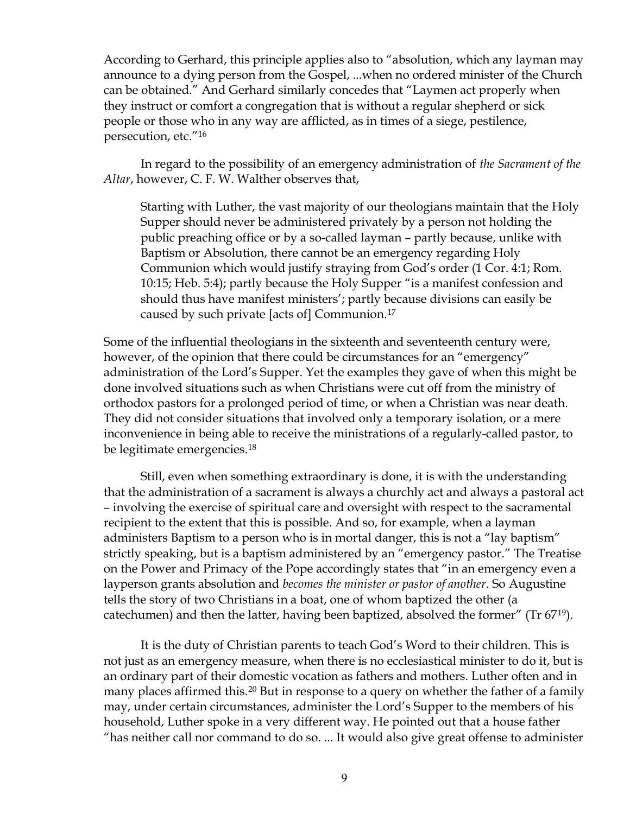According to Gerhard, this principle applies also to "absolution, which any layman may announce to a dying person from the Gospel, ...when no ordered minister of the Church can be obtained." And Gerhard similarly concedes that "Laymen act properly when they instruct or comfort a congregation that is without a regular shepherd or sick people or those who in any way are afflicted, as in times of a siege, pestilence, persecution, etc."<sup>16</sup>

In regard to the possibility of an emergency administration of the Sacrament of the Altar, however, C. F. W. Walther observes that,

Starting with Luther, the vast majority of our theologians maintain that the Holy Supper should never be administered privately by a person not holding the public preaching office or by a so-called layman – partly because, unlike with Baptism or Absolution, there cannot be an emergency regarding Holy Communion which would justify straying from God's order (1 Cor. 4:1; Rom. 10:15; Heb. 5:4); partly because the Holy Supper "is a manifest confession and should thus have manifest ministers'; partly because divisions can easily be caused by such private [acts of] Communion.<sup>17</sup>

Some of the influential theologians in the sixteenth and seventeenth century were, however, of the opinion that there could be circumstances for an "emergency" administration of the Lord's Supper. Yet the examples they gave of when this might be done involved situations such as when Christians were cut off from the ministry of orthodox pastors for a prolonged period of time, or when a Christian was near death. They did not consider situations that involved only a temporary isolation, or a mere inconvenience in being able to receive the ministrations of a regularly-called pastor, to be legitimate emergencies.<sup>18</sup>

Still, even when something extraordinary is done, it is with the understanding that the administration of a sacrament is always a churchly act and always a pastoral act – involving the exercise of spiritual care and oversight with respect to the sacramental recipient to the extent that this is possible. And so, for example, when a layman administers Baptism to a person who is in mortal danger, this is not a "lay baptism" strictly speaking, but is a baptism administered by an "emergency pastor." The Treatise on the Power and Primacy of the Pope accordingly states that "in an emergency even a layperson grants absolution and *becomes the minister or pastor of another*. So Augustine tells the story of two Christians in a boat, one of whom baptized the other (a catechumen) and then the latter, having been baptized, absolved the former" ( $Tr 67^{19}$ ).

It is the duty of Christian parents to teach God's Word to their children. This is not just as an emergency measure, when there is no ecclesiastical minister to do it, but is an ordinary part of their domestic vocation as fathers and mothers. Luther often and in many places affirmed this.<sup>20</sup> But in response to a query on whether the father of a family may, under certain circumstances, administer the Lord's Supper to the members of his household, Luther spoke in a very different way. He pointed out that a house father "has neither call nor command to do so. ... It would also give great offense to administer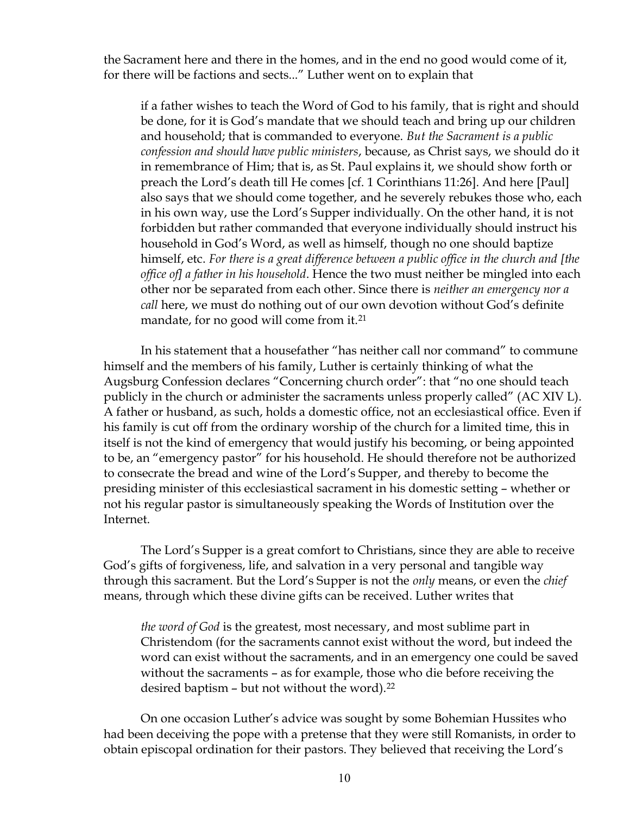the Sacrament here and there in the homes, and in the end no good would come of it, for there will be factions and sects..." Luther went on to explain that

if a father wishes to teach the Word of God to his family, that is right and should be done, for it is God's mandate that we should teach and bring up our children and household; that is commanded to everyone. But the Sacrament is a public confession and should have public ministers, because, as Christ says, we should do it in remembrance of Him; that is, as St. Paul explains it, we should show forth or preach the Lord's death till He comes [cf. 1 Corinthians 11:26]. And here [Paul] also says that we should come together, and he severely rebukes those who, each in his own way, use the Lord's Supper individually. On the other hand, it is not forbidden but rather commanded that everyone individually should instruct his household in God's Word, as well as himself, though no one should baptize himself, etc. For there is a great difference between a public office in the church and [the office of a father in his household. Hence the two must neither be mingled into each other nor be separated from each other. Since there is neither an emergency nor a call here, we must do nothing out of our own devotion without God's definite mandate, for no good will come from it.<sup>21</sup>

In his statement that a housefather "has neither call nor command" to commune himself and the members of his family, Luther is certainly thinking of what the Augsburg Confession declares "Concerning church order": that "no one should teach publicly in the church or administer the sacraments unless properly called" (AC XIV L). A father or husband, as such, holds a domestic office, not an ecclesiastical office. Even if his family is cut off from the ordinary worship of the church for a limited time, this in itself is not the kind of emergency that would justify his becoming, or being appointed to be, an "emergency pastor" for his household. He should therefore not be authorized to consecrate the bread and wine of the Lord's Supper, and thereby to become the presiding minister of this ecclesiastical sacrament in his domestic setting – whether or not his regular pastor is simultaneously speaking the Words of Institution over the Internet.

The Lord's Supper is a great comfort to Christians, since they are able to receive God's gifts of forgiveness, life, and salvation in a very personal and tangible way through this sacrament. But the Lord's Supper is not the *only* means, or even the *chief* means, through which these divine gifts can be received. Luther writes that

the word of God is the greatest, most necessary, and most sublime part in Christendom (for the sacraments cannot exist without the word, but indeed the word can exist without the sacraments, and in an emergency one could be saved without the sacraments – as for example, those who die before receiving the desired baptism – but not without the word).<sup>22</sup>

 On one occasion Luther's advice was sought by some Bohemian Hussites who had been deceiving the pope with a pretense that they were still Romanists, in order to obtain episcopal ordination for their pastors. They believed that receiving the Lord's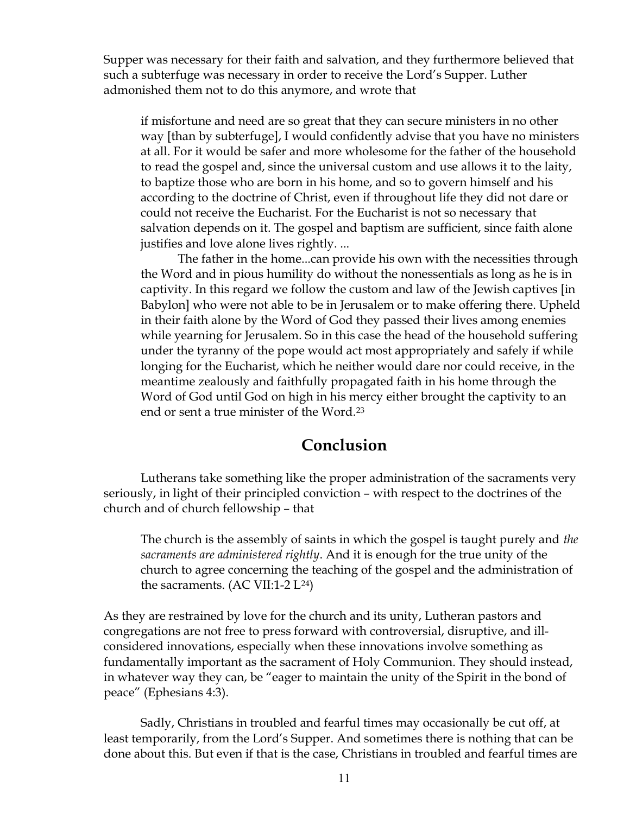Supper was necessary for their faith and salvation, and they furthermore believed that such a subterfuge was necessary in order to receive the Lord's Supper. Luther admonished them not to do this anymore, and wrote that

if misfortune and need are so great that they can secure ministers in no other way [than by subterfuge], I would confidently advise that you have no ministers at all. For it would be safer and more wholesome for the father of the household to read the gospel and, since the universal custom and use allows it to the laity, to baptize those who are born in his home, and so to govern himself and his according to the doctrine of Christ, even if throughout life they did not dare or could not receive the Eucharist. For the Eucharist is not so necessary that salvation depends on it. The gospel and baptism are sufficient, since faith alone justifies and love alone lives rightly. ...

The father in the home...can provide his own with the necessities through the Word and in pious humility do without the nonessentials as long as he is in captivity. In this regard we follow the custom and law of the Jewish captives [in Babylon] who were not able to be in Jerusalem or to make offering there. Upheld in their faith alone by the Word of God they passed their lives among enemies while yearning for Jerusalem. So in this case the head of the household suffering under the tyranny of the pope would act most appropriately and safely if while longing for the Eucharist, which he neither would dare nor could receive, in the meantime zealously and faithfully propagated faith in his home through the Word of God until God on high in his mercy either brought the captivity to an end or sent a true minister of the Word.<sup>23</sup>

## Conclusion

Lutherans take something like the proper administration of the sacraments very seriously, in light of their principled conviction – with respect to the doctrines of the church and of church fellowship – that

The church is the assembly of saints in which the gospel is taught purely and *the* sacraments are administered rightly. And it is enough for the true unity of the church to agree concerning the teaching of the gospel and the administration of the sacraments.  $(AC VII:1-2 L<sup>24</sup>)$ 

As they are restrained by love for the church and its unity, Lutheran pastors and congregations are not free to press forward with controversial, disruptive, and illconsidered innovations, especially when these innovations involve something as fundamentally important as the sacrament of Holy Communion. They should instead, in whatever way they can, be "eager to maintain the unity of the Spirit in the bond of peace" (Ephesians 4:3).

 Sadly, Christians in troubled and fearful times may occasionally be cut off, at least temporarily, from the Lord's Supper. And sometimes there is nothing that can be done about this. But even if that is the case, Christians in troubled and fearful times are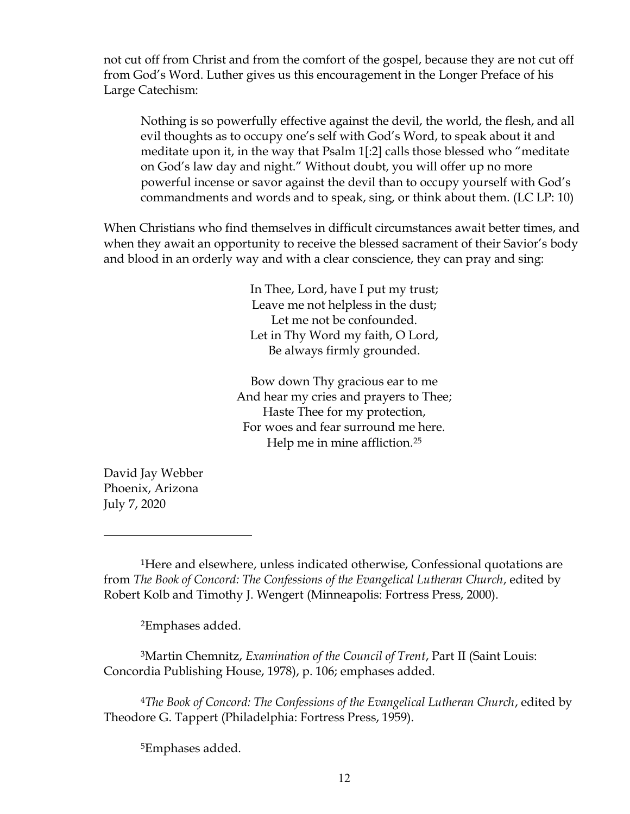not cut off from Christ and from the comfort of the gospel, because they are not cut off from God's Word. Luther gives us this encouragement in the Longer Preface of his Large Catechism:

Nothing is so powerfully effective against the devil, the world, the flesh, and all evil thoughts as to occupy one's self with God's Word, to speak about it and meditate upon it, in the way that Psalm 1[:2] calls those blessed who "meditate on God's law day and night." Without doubt, you will offer up no more powerful incense or savor against the devil than to occupy yourself with God's commandments and words and to speak, sing, or think about them. (LC LP: 10)

When Christians who find themselves in difficult circumstances await better times, and when they await an opportunity to receive the blessed sacrament of their Savior's body and blood in an orderly way and with a clear conscience, they can pray and sing:

> In Thee, Lord, have I put my trust; Leave me not helpless in the dust; Let me not be confounded. Let in Thy Word my faith, O Lord, Be always firmly grounded.

Bow down Thy gracious ear to me And hear my cries and prayers to Thee; Haste Thee for my protection, For woes and fear surround me here. Help me in mine affliction.<sup>25</sup>

David Jay Webber Phoenix, Arizona July 7, 2020

<sup>2</sup>Emphases added.

<sup>3</sup>Martin Chemnitz, Examination of the Council of Trent, Part II (Saint Louis: Concordia Publishing House, 1978), p. 106; emphases added.

<sup>4</sup>The Book of Concord: The Confessions of the Evangelical Lutheran Church, edited by Theodore G. Tappert (Philadelphia: Fortress Press, 1959).

5Emphases added.

<sup>1</sup>Here and elsewhere, unless indicated otherwise, Confessional quotations are from The Book of Concord: The Confessions of the Evangelical Lutheran Church, edited by Robert Kolb and Timothy J. Wengert (Minneapolis: Fortress Press, 2000).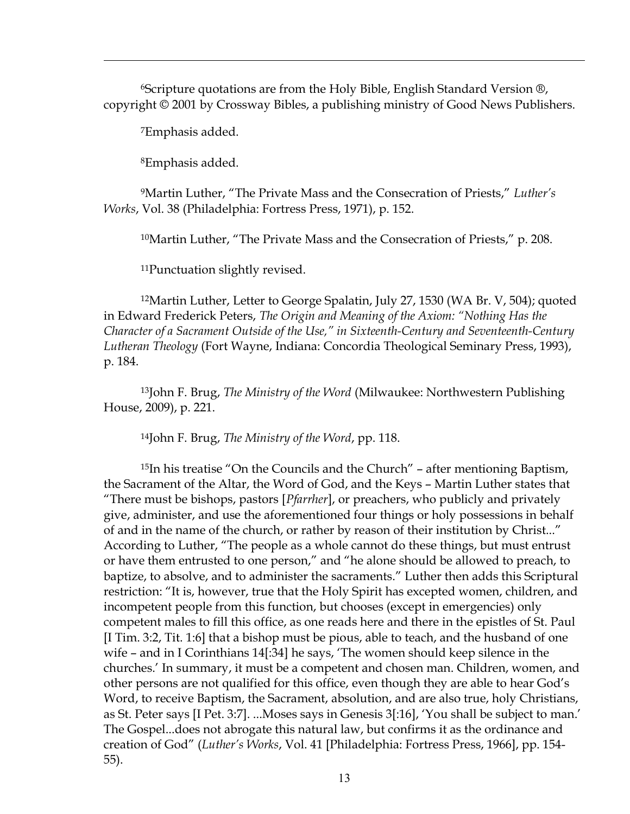$6$ Scripture quotations are from the Holy Bible, English Standard Version  $\mathcal{R}$ , copyright © 2001 by Crossway Bibles, a publishing ministry of Good News Publishers.

<sup>7</sup>Emphasis added.

<sup>8</sup>Emphasis added.

<sup>9</sup>Martin Luther, "The Private Mass and the Consecration of Priests," Luther's Works, Vol. 38 (Philadelphia: Fortress Press, 1971), p. 152.

<sup>10</sup>Martin Luther, "The Private Mass and the Consecration of Priests," p. 208.

<sup>11</sup>Punctuation slightly revised.

<sup>12</sup>Martin Luther, Letter to George Spalatin, July 27, 1530 (WA Br. V, 504); quoted in Edward Frederick Peters, The Origin and Meaning of the Axiom: "Nothing Has the Character of a Sacrament Outside of the Use," in Sixteenth-Century and Seventeenth-Century Lutheran Theology (Fort Wayne, Indiana: Concordia Theological Seminary Press, 1993), p. 184.

<sup>13</sup>John F. Brug, *The Ministry of the Word* (Milwaukee: Northwestern Publishing House, 2009), p. 221.

<sup>14</sup>John F. Brug, The Ministry of the Word, pp. 118.

<sup>15</sup>In his treatise "On the Councils and the Church" – after mentioning Baptism, the Sacrament of the Altar, the Word of God, and the Keys – Martin Luther states that "There must be bishops, pastors [Pfarrher], or preachers, who publicly and privately give, administer, and use the aforementioned four things or holy possessions in behalf of and in the name of the church, or rather by reason of their institution by Christ..." According to Luther, "The people as a whole cannot do these things, but must entrust or have them entrusted to one person," and "he alone should be allowed to preach, to baptize, to absolve, and to administer the sacraments." Luther then adds this Scriptural restriction: "It is, however, true that the Holy Spirit has excepted women, children, and incompetent people from this function, but chooses (except in emergencies) only competent males to fill this office, as one reads here and there in the epistles of St. Paul [I Tim. 3:2, Tit. 1:6] that a bishop must be pious, able to teach, and the husband of one wife – and in I Corinthians 14[:34] he says, 'The women should keep silence in the churches.' In summary, it must be a competent and chosen man. Children, women, and other persons are not qualified for this office, even though they are able to hear God's Word, to receive Baptism, the Sacrament, absolution, and are also true, holy Christians, as St. Peter says [I Pet. 3:7]. ...Moses says in Genesis 3[:16], 'You shall be subject to man.' The Gospel...does not abrogate this natural law, but confirms it as the ordinance and creation of God" (Luther's Works, Vol. 41 [Philadelphia: Fortress Press, 1966], pp. 154- 55).